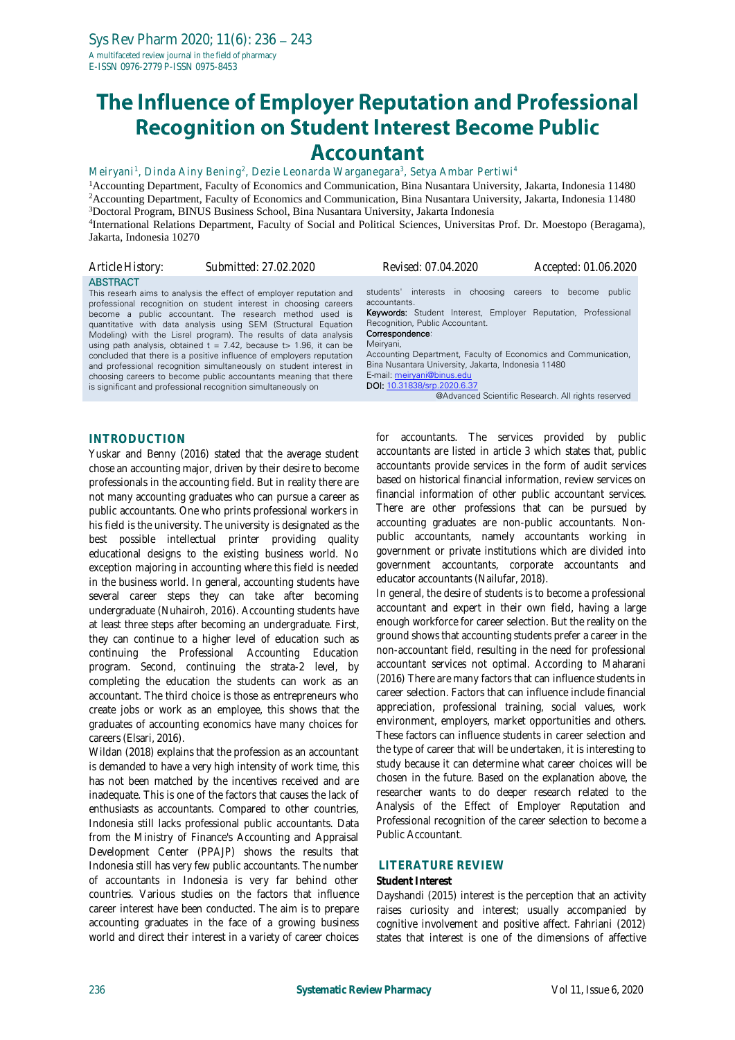# The Influence of Employer Reputation and Professional **Recognition on Student Interest Become Public Accountant**

Meiryani<sup>1</sup>, Dinda Ainy Bening<sup>2</sup>, Dezie Leonarda Warganegara<sup>3</sup>, Setya Ambar Pertiwi<sup>4</sup>

<sup>1</sup>Accounting Department, Faculty of Economics and Communication, Bina Nusantara University, Jakarta, Indonesia 11480 <sup>2</sup> Accounting Department, Faculty of Economics and Communication, Bina Nusantara University, Jakarta, Indonesia 11480 <sup>3</sup>Doctoral Program, BINUS Business School, Bina Nusantara University, Jakarta Indonesia 4 International Relations Department, Faculty of Social and Political Sciences, Universitas Prof. Dr. Moestopo (Beragama), Jakarta, Indonesia 10270

*Article History: Submitted: 27.02.2020 Revised: 07.04.2020 Accepted: 01.06.2020* ABSTRACT This researh aims to analysis the effect of employer reputation and professional recognition on student interest in choosing careers become a public accountant. The research method used is quantitative with data analysis using SEM (Structural Equation Modeling) with the Lisrel program). The results of data analysis using path analysis, obtained  $t = 7.42$ , because  $t > 1.96$ , it can be concluded that there is a positive influence of employers reputation and professional recognition simultaneously on student interest in choosing careers to become public accountants meaning that there is significant and professional recognition simultaneously on students' interests in choosing careers to become public accountants. Keywords: Student Interest, Employer Reputation, Professional Recognition, Public Accountant. Correspondence: Meiryani, Accounting Department, Faculty of Economics and Communication, Bina Nusantara University, Jakarta, Indonesia 11480 E-mail: [meiryani@binus.edu](mailto:meiryani@binus.edu) DOI: [10.31838/srp.2020.6.37](http://dx.doi.org/10.5530/srp.2019.2.04) @Advanced Scientific Research. All rights reserved

## **INTRODUCTION**

Yuskar and Benny (2016) stated that the average student chose an accounting major, driven by their desire to become professionals in the accounting field. But in reality there are not many accounting graduates who can pursue a career as public accountants. One who prints professional workers in his field is the university. The university is designated as the best possible intellectual printer providing quality educational designs to the existing business world. No exception majoring in accounting where this field is needed in the business world. In general, accounting students have several career steps they can take after becoming undergraduate (Nuhairoh, 2016). Accounting students have at least three steps after becoming an undergraduate. First, they can continue to a higher level of education such as continuing the Professional Accounting Education program. Second, continuing the strata-2 level, by completing the education the students can work as an accountant. The third choice is those as entrepreneurs who create jobs or work as an employee, this shows that the graduates of accounting economics have many choices for careers (Elsari, 2016).

Wildan (2018) explains that the profession as an accountant is demanded to have a very high intensity of work time, this has not been matched by the incentives received and are inadequate. This is one of the factors that causes the lack of enthusiasts as accountants. Compared to other countries, Indonesia still lacks professional public accountants. Data from the Ministry of Finance's Accounting and Appraisal Development Center (PPAJP) shows the results that Indonesia still has very few public accountants. The number of accountants in Indonesia is very far behind other countries. Various studies on the factors that influence career interest have been conducted. The aim is to prepare accounting graduates in the face of a growing business world and direct their interest in a variety of career choices

for accountants. The services provided by public accountants are listed in article 3 which states that, public accountants provide services in the form of audit services based on historical financial information, review services on financial information of other public accountant services. There are other professions that can be pursued by accounting graduates are non-public accountants. Nonpublic accountants, namely accountants working in government or private institutions which are divided into government accountants, corporate accountants and educator accountants (Nailufar, 2018).

In general, the desire of students is to become a professional accountant and expert in their own field, having a large enough workforce for career selection. But the reality on the ground shows that accounting students prefer a career in the non-accountant field, resulting in the need for professional accountant services not optimal. According to Maharani (2016) There are many factors that can influence students in career selection. Factors that can influence include financial appreciation, professional training, social values, work environment, employers, market opportunities and others. These factors can influence students in career selection and the type of career that will be undertaken, it is interesting to study because it can determine what career choices will be chosen in the future. Based on the explanation above, the researcher wants to do deeper research related to the Analysis of the Effect of Employer Reputation and Professional recognition of the career selection to become a Public Accountant.

#### **LITERATURE REVIEW**

#### **Student Interest**

Dayshandi (2015) interest is the perception that an activity raises curiosity and interest; usually accompanied by cognitive involvement and positive affect. Fahriani (2012) states that interest is one of the dimensions of affective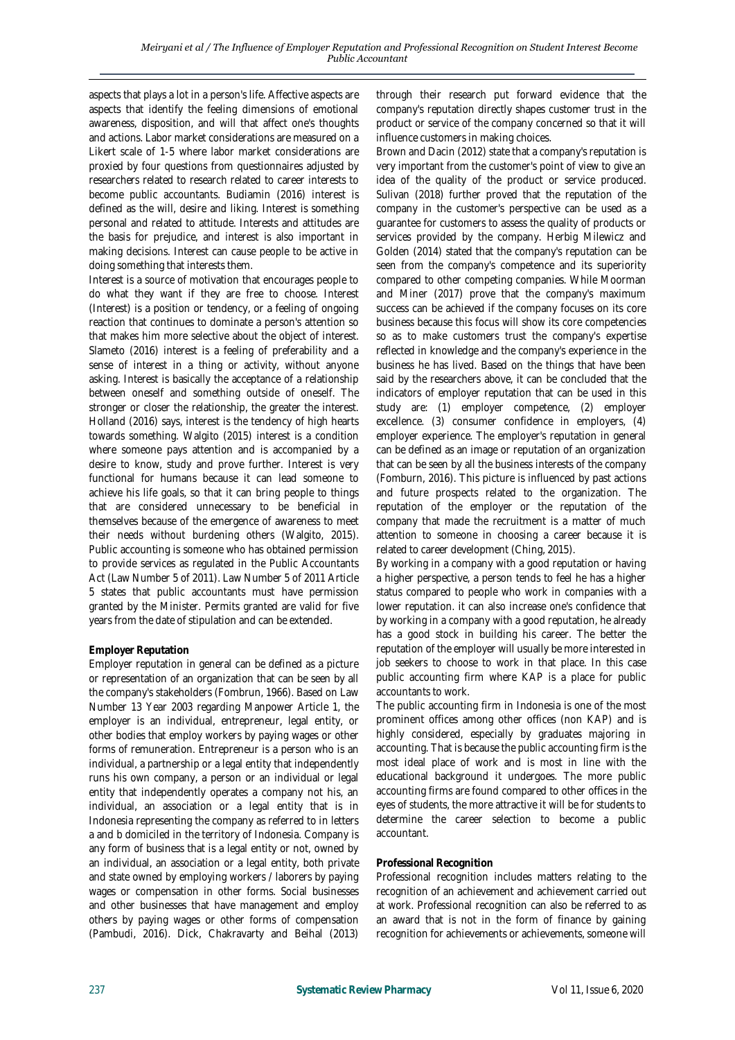aspects that plays a lot in a person's life. Affective aspects are aspects that identify the feeling dimensions of emotional awareness, disposition, and will that affect one's thoughts and actions. Labor market considerations are measured on a Likert scale of 1-5 where labor market considerations are proxied by four questions from questionnaires adjusted by researchers related to research related to career interests to become public accountants. Budiamin (2016) interest is defined as the will, desire and liking. Interest is something personal and related to attitude. Interests and attitudes are the basis for prejudice, and interest is also important in making decisions. Interest can cause people to be active in doing something that interests them.

Interest is a source of motivation that encourages people to do what they want if they are free to choose. Interest (Interest) is a position or tendency, or a feeling of ongoing reaction that continues to dominate a person's attention so that makes him more selective about the object of interest. Slameto (2016) interest is a feeling of preferability and a sense of interest in a thing or activity, without anyone asking. Interest is basically the acceptance of a relationship between oneself and something outside of oneself. The stronger or closer the relationship, the greater the interest. Holland (2016) says, interest is the tendency of high hearts towards something. Walgito (2015) interest is a condition where someone pays attention and is accompanied by a desire to know, study and prove further. Interest is very functional for humans because it can lead someone to achieve his life goals, so that it can bring people to things that are considered unnecessary to be beneficial in themselves because of the emergence of awareness to meet their needs without burdening others (Walgito, 2015). Public accounting is someone who has obtained permission to provide services as regulated in the Public Accountants Act (Law Number 5 of 2011). Law Number 5 of 2011 Article 5 states that public accountants must have permission granted by the Minister. Permits granted are valid for five years from the date of stipulation and can be extended.

# **Employer Reputation**

Employer reputation in general can be defined as a picture or representation of an organization that can be seen by all the company's stakeholders (Fombrun, 1966). Based on Law Number 13 Year 2003 regarding Manpower Article 1, the employer is an individual, entrepreneur, legal entity, or other bodies that employ workers by paying wages or other forms of remuneration. Entrepreneur is a person who is an individual, a partnership or a legal entity that independently runs his own company, a person or an individual or legal entity that independently operates a company not his, an individual, an association or a legal entity that is in Indonesia representing the company as referred to in letters a and b domiciled in the territory of Indonesia. Company is any form of business that is a legal entity or not, owned by an individual, an association or a legal entity, both private and state owned by employing workers / laborers by paying wages or compensation in other forms. Social businesses and other businesses that have management and employ others by paying wages or other forms of compensation (Pambudi, 2016). Dick, Chakravarty and Beihal (2013)

through their research put forward evidence that the company's reputation directly shapes customer trust in the product or service of the company concerned so that it will influence customers in making choices.

Brown and Dacin (2012) state that a company's reputation is very important from the customer's point of view to give an idea of the quality of the product or service produced. Sulivan (2018) further proved that the reputation of the company in the customer's perspective can be used as a guarantee for customers to assess the quality of products or services provided by the company. Herbig Milewicz and Golden (2014) stated that the company's reputation can be seen from the company's competence and its superiority compared to other competing companies. While Moorman and Miner (2017) prove that the company's maximum success can be achieved if the company focuses on its core business because this focus will show its core competencies so as to make customers trust the company's expertise reflected in knowledge and the company's experience in the business he has lived. Based on the things that have been said by the researchers above, it can be concluded that the indicators of employer reputation that can be used in this study are: (1) employer competence, (2) employer excellence. (3) consumer confidence in employers, (4) employer experience. The employer's reputation in general can be defined as an image or reputation of an organization that can be seen by all the business interests of the company (Fomburn, 2016). This picture is influenced by past actions and future prospects related to the organization. The reputation of the employer or the reputation of the company that made the recruitment is a matter of much attention to someone in choosing a career because it is related to career development (Ching, 2015).

By working in a company with a good reputation or having a higher perspective, a person tends to feel he has a higher status compared to people who work in companies with a lower reputation. it can also increase one's confidence that by working in a company with a good reputation, he already has a good stock in building his career. The better the reputation of the employer will usually be more interested in job seekers to choose to work in that place. In this case public accounting firm where KAP is a place for public accountants to work.

The public accounting firm in Indonesia is one of the most prominent offices among other offices (non KAP) and is highly considered, especially by graduates majoring in accounting. That is because the public accounting firm is the most ideal place of work and is most in line with the educational background it undergoes. The more public accounting firms are found compared to other offices in the eyes of students, the more attractive it will be for students to determine the career selection to become a public accountant.

## **Professional Recognition**

Professional recognition includes matters relating to the recognition of an achievement and achievement carried out at work. Professional recognition can also be referred to as an award that is not in the form of finance by gaining recognition for achievements or achievements, someone will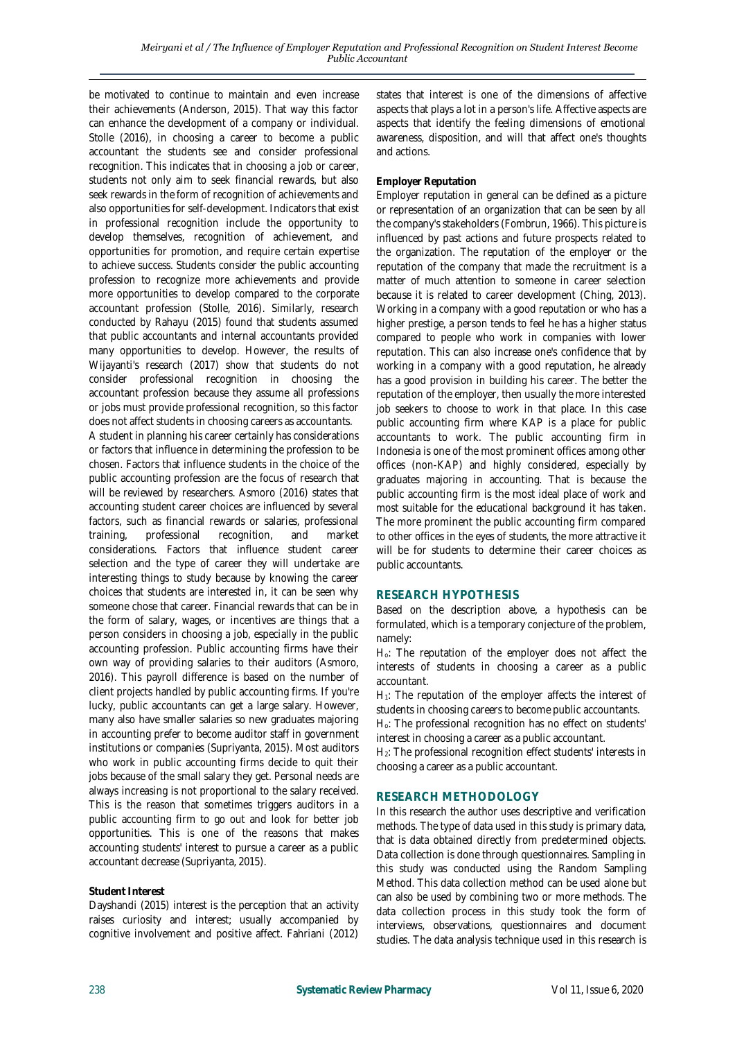be motivated to continue to maintain and even increase their achievements (Anderson, 2015). That way this factor can enhance the development of a company or individual. Stolle (2016), in choosing a career to become a public accountant the students see and consider professional recognition. This indicates that in choosing a job or career, students not only aim to seek financial rewards, but also seek rewards in the form of recognition of achievements and also opportunities for self-development. Indicators that exist in professional recognition include the opportunity to develop themselves, recognition of achievement, and opportunities for promotion, and require certain expertise to achieve success. Students consider the public accounting profession to recognize more achievements and provide more opportunities to develop compared to the corporate accountant profession (Stolle, 2016). Similarly, research conducted by Rahayu (2015) found that students assumed that public accountants and internal accountants provided many opportunities to develop. However, the results of Wijayanti's research (2017) show that students do not consider professional recognition in choosing the accountant profession because they assume all professions or jobs must provide professional recognition, so this factor does not affect students in choosing careers as accountants.

A student in planning his career certainly has considerations or factors that influence in determining the profession to be chosen. Factors that influence students in the choice of the public accounting profession are the focus of research that will be reviewed by researchers. Asmoro (2016) states that accounting student career choices are influenced by several factors, such as financial rewards or salaries, professional training, professional recognition, and market considerations. Factors that influence student career selection and the type of career they will undertake are interesting things to study because by knowing the career choices that students are interested in, it can be seen why someone chose that career. Financial rewards that can be in the form of salary, wages, or incentives are things that a person considers in choosing a job, especially in the public accounting profession. Public accounting firms have their own way of providing salaries to their auditors (Asmoro, 2016). This payroll difference is based on the number of client projects handled by public accounting firms. If you're lucky, public accountants can get a large salary. However, many also have smaller salaries so new graduates majoring in accounting prefer to become auditor staff in government institutions or companies (Supriyanta, 2015). Most auditors who work in public accounting firms decide to quit their jobs because of the small salary they get. Personal needs are always increasing is not proportional to the salary received. This is the reason that sometimes triggers auditors in a public accounting firm to go out and look for better job opportunities. This is one of the reasons that makes accounting students' interest to pursue a career as a public accountant decrease (Supriyanta, 2015).

## **Student Interest**

Dayshandi (2015) interest is the perception that an activity raises curiosity and interest; usually accompanied by cognitive involvement and positive affect. Fahriani (2012) states that interest is one of the dimensions of affective aspects that plays a lot in a person's life. Affective aspects are aspects that identify the feeling dimensions of emotional awareness, disposition, and will that affect one's thoughts and actions.

## **Employer Reputation**

Employer reputation in general can be defined as a picture or representation of an organization that can be seen by all the company's stakeholders (Fombrun, 1966). This picture is influenced by past actions and future prospects related to the organization. The reputation of the employer or the reputation of the company that made the recruitment is a matter of much attention to someone in career selection because it is related to career development (Ching, 2013). Working in a company with a good reputation or who has a higher prestige, a person tends to feel he has a higher status compared to people who work in companies with lower reputation. This can also increase one's confidence that by working in a company with a good reputation, he already has a good provision in building his career. The better the reputation of the employer, then usually the more interested job seekers to choose to work in that place. In this case public accounting firm where KAP is a place for public accountants to work. The public accounting firm in Indonesia is one of the most prominent offices among other offices (non-KAP) and highly considered, especially by graduates majoring in accounting. That is because the public accounting firm is the most ideal place of work and most suitable for the educational background it has taken. The more prominent the public accounting firm compared to other offices in the eyes of students, the more attractive it will be for students to determine their career choices as public accountants.

#### **RESEARCH HYPOTHESIS**

Based on the description above, a hypothesis can be formulated, which is a temporary conjecture of the problem, namely:

Ho: The reputation of the employer does not affect the interests of students in choosing a career as a public accountant.

H<sub>1</sub>: The reputation of the employer affects the interest of students in choosing careers to become public accountants.

Ho: The professional recognition has no effect on students' interest in choosing a career as a public accountant.

H<sub>2</sub>: The professional recognition effect students' interests in choosing a career as a public accountant.

#### **RESEARCH METHODOLOGY**

In this research the author uses descriptive and verification methods. The type of data used in this study is primary data, that is data obtained directly from predetermined objects. Data collection is done through questionnaires. Sampling in this study was conducted using the Random Sampling Method. This data collection method can be used alone but can also be used by combining two or more methods. The data collection process in this study took the form of interviews, observations, questionnaires and document studies. The data analysis technique used in this research is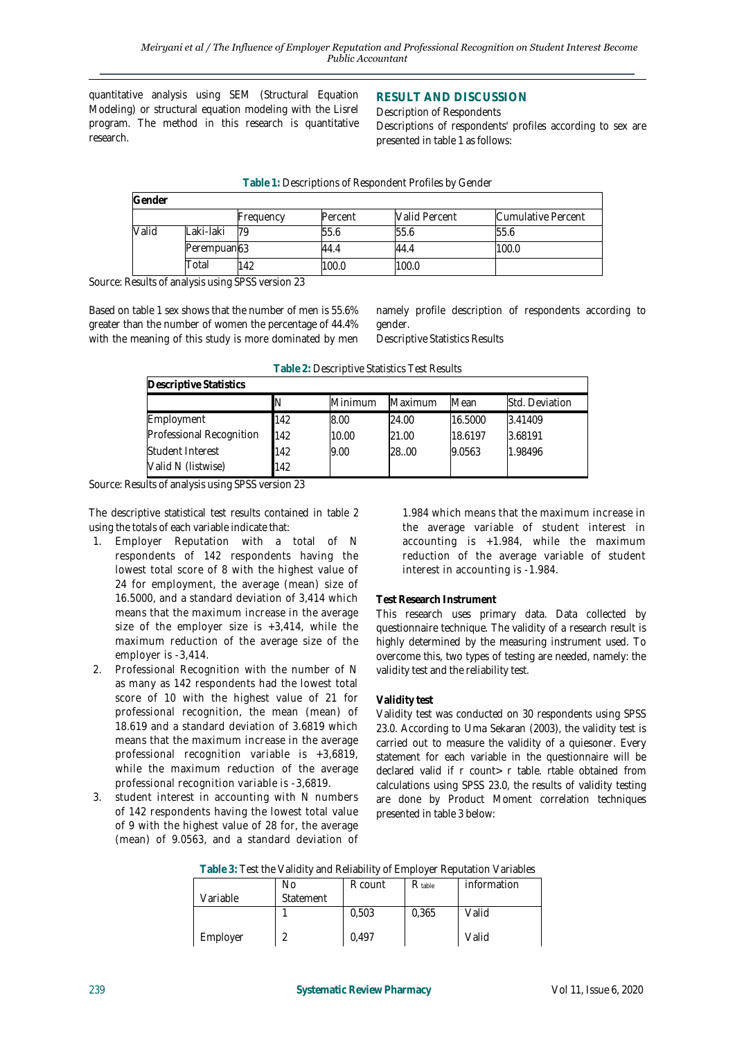quantitative analysis using SEM (Structural Equation Modeling) or structural equation modeling with the Lisrel program. The method in this research is quantitative research.

## **RESULT AND DISCUSSION**

Description of Respondents Descriptions of respondents' profiles according to sex are presented in table 1 as follows:

| Gender |             |           |         |                      |                    |
|--------|-------------|-----------|---------|----------------------|--------------------|
|        |             | Frequency | Percent | <b>Valid Percent</b> | Cumulative Percent |
| Valid  | Laki-laki   | 79        | 55.6    | 55.6                 | 55.6               |
|        | Perempuan63 |           | 44.4    | 44.4                 | 100.0              |
|        | Total       | 142       | 100.0   | 100.0                |                    |

| Table 1: Descriptions of Respondent Profiles by Gender |  |  |
|--------------------------------------------------------|--|--|
|--------------------------------------------------------|--|--|

Source: Results of analysis using SPSS version 23

Based on table 1 sex shows that the number of men is 55.6% greater than the number of women the percentage of 44.4% with the meaning of this study is more dominated by men namely profile description of respondents according to gender.

Descriptive Statistics Results

| Descriptive Statistics   |     |         |         |         |                |
|--------------------------|-----|---------|---------|---------|----------------|
|                          |     | Minimum | Maximum | Mean    | Std. Deviation |
| Employment               | 142 | 8.00    | 24.00   | 16.5000 | 3.41409        |
| Professional Recognition | 142 | 10.00   | 21.00   | 18.6197 | 3.68191        |
| Student Interest         | 142 | 9.00    | 28.00   | 9.0563  | 1.98496        |
| Valid N (listwise)       | 142 |         |         |         |                |

**Table 2:** Descriptive Statistics Test Results

Source: Results of analysis using SPSS version 23

The descriptive statistical test results contained in table 2 using the totals of each variable indicate that:

- 1. Employer Reputation with a total of N respondents of 142 respondents having the lowest total score of 8 with the highest value of 24 for employment, the average (mean) size of 16.5000, and a standard deviation of 3,414 which means that the maximum increase in the average size of the employer size is  $+3,414$ , while the maximum reduction of the average size of the employer is -3,414.
- 2. Professional Recognition with the number of N as many as 142 respondents had the lowest total score of 10 with the highest value of 21 for professional recognition, the mean (mean) of 18.619 and a standard deviation of 3.6819 which means that the maximum increase in the average professional recognition variable is +3,6819, while the maximum reduction of the average professional recognition variable is -3,6819.
- 3. student interest in accounting with N numbers of 142 respondents having the lowest total value of 9 with the highest value of 28 for, the average (mean) of 9.0563, and a standard deviation of

1.984 which means that the maximum increase in the average variable of student interest in accounting is +1.984, while the maximum reduction of the average variable of student interest in accounting is -1.984.

# **Test Research Instrument**

This research uses primary data. Data collected by questionnaire technique. The validity of a research result is highly determined by the measuring instrument used. To overcome this, two types of testing are needed, namely: the validity test and the reliability test.

# **Validity test**

Validity test was conducted on 30 respondents using SPSS 23.0. According to Uma Sekaran (2003), the validity test is carried out to measure the validity of a quiesoner. Every statement for each variable in the questionnaire will be declared valid if r count> r table. rtable obtained from calculations using SPSS 23.0, the results of validity testing are done by Product Moment correlation techniques presented in table 3 below:

|  | Table 3: Test the Validity and Reliability of Employer Reputation Variables |  |  |
|--|-----------------------------------------------------------------------------|--|--|
|  |                                                                             |  |  |

|          | No        | R count | $R_{table}$ | information |
|----------|-----------|---------|-------------|-------------|
| Variable | Statement |         |             |             |
|          |           | 0,503   | 0,365       | Valid       |
| Employer |           | 0,497   |             | Valid       |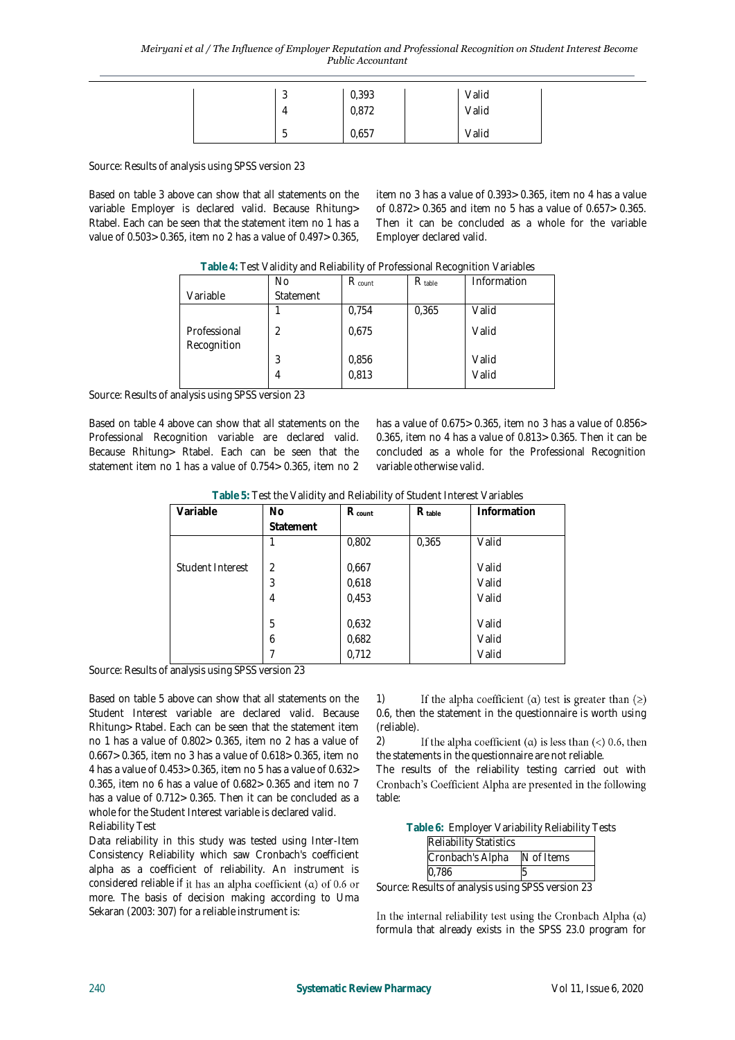|  | $\sim$<br>J | 0,393 | Valid |  |
|--|-------------|-------|-------|--|
|  | 4           | 0,872 | Valid |  |
|  | е<br>h<br>ر | 0,657 | Valid |  |

Source: Results of analysis using SPSS version 23

Based on table 3 above can show that all statements on the variable Employer is declared valid. Because Rhitung> Rtabel. Each can be seen that the statement item no 1 has a value of 0.503> 0.365, item no 2 has a value of 0.497> 0.365, item no 3 has a value of 0.393> 0.365, item no 4 has a value of 0.872> 0.365 and item no 5 has a value of 0.657> 0.365. Then it can be concluded as a whole for the variable Employer declared valid.

|                             | $\frac{1}{2}$ and $\frac{1}{2}$ . Then the state is the state interval is the contract of the state in the state is the state in the state in the state is the state in the state in the state in the state in the state in the state |                    |             |             |
|-----------------------------|---------------------------------------------------------------------------------------------------------------------------------------------------------------------------------------------------------------------------------------|--------------------|-------------|-------------|
|                             | No                                                                                                                                                                                                                                    | $R_{\text{count}}$ | $R_{table}$ | Information |
| Variable                    | Statement                                                                                                                                                                                                                             |                    |             |             |
|                             |                                                                                                                                                                                                                                       | 0,754              | 0,365       | Valid       |
| Professional<br>Recognition | 2                                                                                                                                                                                                                                     | 0,675              |             | Valid       |
|                             | 3                                                                                                                                                                                                                                     | 0,856              |             | Valid       |
|                             | 4                                                                                                                                                                                                                                     | 0,813              |             | Valid       |

**Table 4:** Test Validity and Reliability of Professional Recognition Variables

Source: Results of analysis using SPSS version 23

Based on table 4 above can show that all statements on the Professional Recognition variable are declared valid. Because Rhitung> Rtabel. Each can be seen that the statement item no 1 has a value of 0.754> 0.365, item no 2 has a value of 0.675> 0.365, item no 3 has a value of 0.856> 0.365, item no 4 has a value of 0.813> 0.365. Then it can be concluded as a whole for the Professional Recognition variable otherwise valid.

**Table 5:** Test the Validity and Reliability of Student Interest Variables

| Variable         | <b>No</b>      | R count | $R_{table}$ | Information |
|------------------|----------------|---------|-------------|-------------|
|                  | Statement      |         |             |             |
|                  |                | 0,802   | 0,365       | Valid       |
|                  |                |         |             |             |
| Student Interest | $\overline{2}$ | 0,667   |             | Valid       |
|                  | 3              | 0,618   |             | Valid       |
|                  | 4              | 0,453   |             | Valid       |
|                  |                |         |             |             |
|                  | 5              | 0,632   |             | Valid       |
|                  | 6              | 0,682   |             | Valid       |
|                  |                | 0,712   |             | Valid       |

Source: Results of analysis using SPSS version 23

Based on table 5 above can show that all statements on the Student Interest variable are declared valid. Because Rhitung> Rtabel. Each can be seen that the statement item no 1 has a value of 0.802> 0.365, item no 2 has a value of 0.667> 0.365, item no 3 has a value of 0.618> 0.365, item no 4 has a value of 0.453> 0.365, item no 5 has a value of 0.632> 0.365, item no 6 has a value of 0.682> 0.365 and item no 7 has a value of 0.712> 0.365. Then it can be concluded as a whole for the Student Interest variable is declared valid. Reliability Test

Data reliability in this study was tested using Inter-Item Consistency Reliability which saw Cronbach's coefficient alpha as a coefficient of reliability. An instrument is considered reliable if it has an alpha coefficient ( $\alpha$ ) of 0.6 or more. The basis of decision making according to Uma Sekaran (2003: 307) for a reliable instrument is:

1) If the alpha coefficient ( $\alpha$ ) test is greater than ( $\geq$ ) 0.6, then the statement in the questionnaire is worth using (reliable).

2) If the alpha coefficient ( $\alpha$ ) is less than (<) 0.6, then the statements in the questionnaire are not reliable.

The results of the reliability testing carried out with Cronbach's Coefficient Alpha are presented in the following table:

**Table 6:** Employer Variability Reliability Tests

| <b>Reliability Statistics</b> |            |
|-------------------------------|------------|
| Cronbach's Alpha              | N of Items |
| 0,786                         |            |

Source: Results of analysis using SPSS version 23

In the internal reliability test using the Cronbach Alpha  $(\alpha)$ formula that already exists in the SPSS 23.0 program for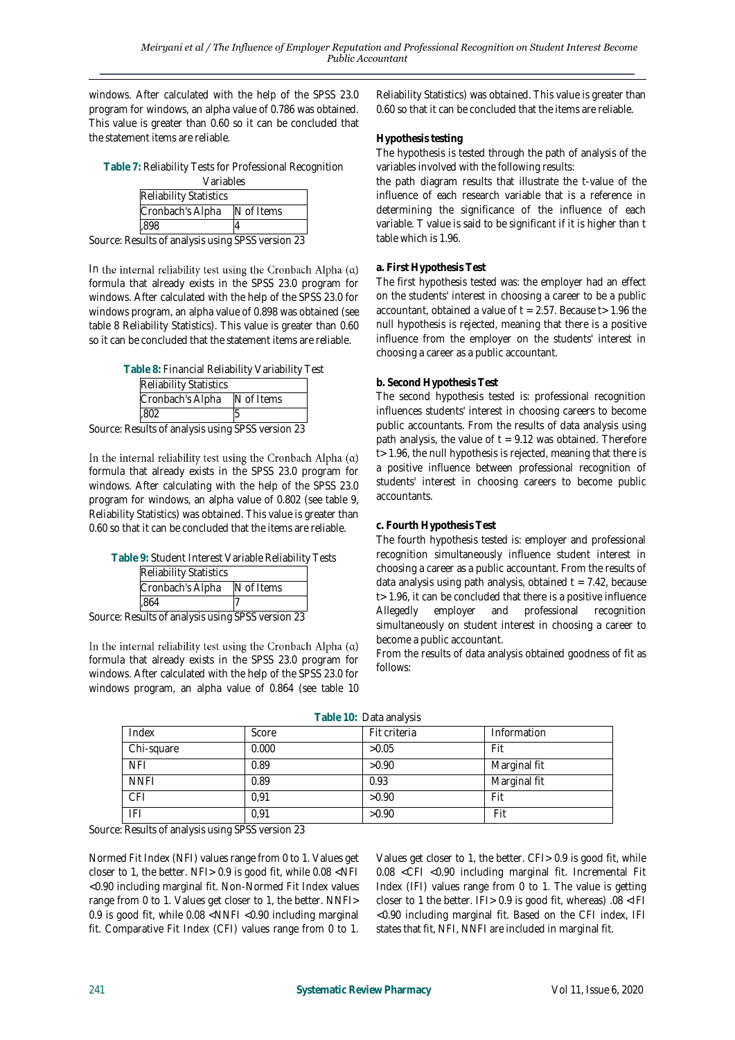windows. After calculated with the help of the SPSS 23.0 program for windows, an alpha value of 0.786 was obtained. This value is greater than 0.60 so it can be concluded that the statement items are reliable.

| Table 7: Reliability Tests for Professional Recognition                                                      |  |
|--------------------------------------------------------------------------------------------------------------|--|
| $\sqrt{2}$ $\frac{1}{2}$ $\frac{1}{2}$ $\frac{1}{2}$ $\frac{1}{2}$ $\frac{1}{2}$ $\frac{1}{2}$ $\frac{1}{2}$ |  |

| variables                     |            |
|-------------------------------|------------|
| <b>Reliability Statistics</b> |            |
| Cronbach's Alpha              | N of Items |
|                               |            |

Source: Results of analysis using SPSS version 23

In the internal reliability test using the Cronbach Alpha  $(\alpha)$ formula that already exists in the SPSS 23.0 program for windows. After calculated with the help of the SPSS 23.0 for windows program, an alpha value of 0.898 was obtained (see table 8 Reliability Statistics). This value is greater than 0.60 so it can be concluded that the statement items are reliable.

| Table 8: Financial Reliability Variability Test |            |  |
|-------------------------------------------------|------------|--|
| <b>Reliability Statistics</b>                   |            |  |
| Cronbach's Alpha                                | N of Items |  |
| 802                                             |            |  |

Source: Results of analysis using SPSS version 23

In the internal reliability test using the Cronbach Alpha  $(\alpha)$ formula that already exists in the SPSS 23.0 program for windows. After calculating with the help of the SPSS 23.0 program for windows, an alpha value of 0.802 (see table 9, Reliability Statistics) was obtained. This value is greater than 0.60 so that it can be concluded that the items are reliable.

|  | Table 9: Student Interest Variable Reliability Tests |
|--|------------------------------------------------------|
|--|------------------------------------------------------|

| <b>Reliability Statistics</b> |            |
|-------------------------------|------------|
| Cronbach's Alpha              | N of Items |
| .864                          |            |

Source: Results of analysis using SPSS version 23

In the internal reliability test using the Cronbach Alpha  $(\alpha)$ formula that already exists in the SPSS 23.0 program for windows. After calculated with the help of the SPSS 23.0 for windows program, an alpha value of 0.864 (see table 10

Reliability Statistics) was obtained. This value is greater than 0.60 so that it can be concluded that the items are reliable.

## **Hypothesis testing**

The hypothesis is tested through the path of analysis of the variables involved with the following results:

the path diagram results that illustrate the t-value of the influence of each research variable that is a reference in determining the significance of the influence of each variable. T value is said to be significant if it is higher than t table which is 1.96.

## **a. First Hypothesis Test**

The first hypothesis tested was: the employer had an effect on the students' interest in choosing a career to be a public accountant, obtained a value of  $t = 2.57$ . Because  $t > 1.96$  the null hypothesis is rejected, meaning that there is a positive influence from the employer on the students' interest in choosing a career as a public accountant.

## **b. Second Hypothesis Test**

The second hypothesis tested is: professional recognition influences students' interest in choosing careers to become public accountants. From the results of data analysis using path analysis, the value of  $t = 9.12$  was obtained. Therefore t > 1.96, the null hypothesis is rejected, meaning that there is a positive influence between professional recognition of students' interest in choosing careers to become public accountants.

## **c. Fourth Hypothesis Test**

The fourth hypothesis tested is: employer and professional recognition simultaneously influence student interest in choosing a career as a public accountant. From the results of data analysis using path analysis, obtained  $t = 7.42$ , because t > 1.96, it can be concluded that there is a positive influence Allegedly employer and professional recognition simultaneously on student interest in choosing a career to become a public accountant.

From the results of data analysis obtained goodness of fit as follows:

|  | Table 10: Data analysis |
|--|-------------------------|
|--|-------------------------|

| Index       | Score | Fit criteria | Information  |
|-------------|-------|--------------|--------------|
| Chi-square  | 0.000 | >0.05        | Fit          |
| NFI         | 0.89  | >0.90        | Marginal fit |
| <b>NNFI</b> | 0.89  | 0.93         | Marginal fit |
| CFI         | 0.91  | >0.90        | Fit          |
| IFI         | 0.91  | >0.90        | Fit          |

Source: Results of analysis using SPSS version 23

Normed Fit Index (NFI) values range from 0 to 1. Values get closer to 1, the better. NFI> 0.9 is good fit, while 0.08 <NFI <0.90 including marginal fit. Non-Normed Fit Index values range from 0 to 1. Values get closer to 1, the better. NNFI> 0.9 is good fit, while 0.08 <NNFI <0.90 including marginal fit. Comparative Fit Index (CFI) values range from 0 to 1.

Values get closer to 1, the better. CFI> 0.9 is good fit, while 0.08 <CFI <0.90 including marginal fit. Incremental Fit Index (IFI) values range from 0 to 1. The value is getting closer to 1 the better. IFI> 0.9 is good fit, whereas) .08 <IFI <0.90 including marginal fit. Based on the CFI index, IFI states that fit, NFI, NNFI are included in marginal fit.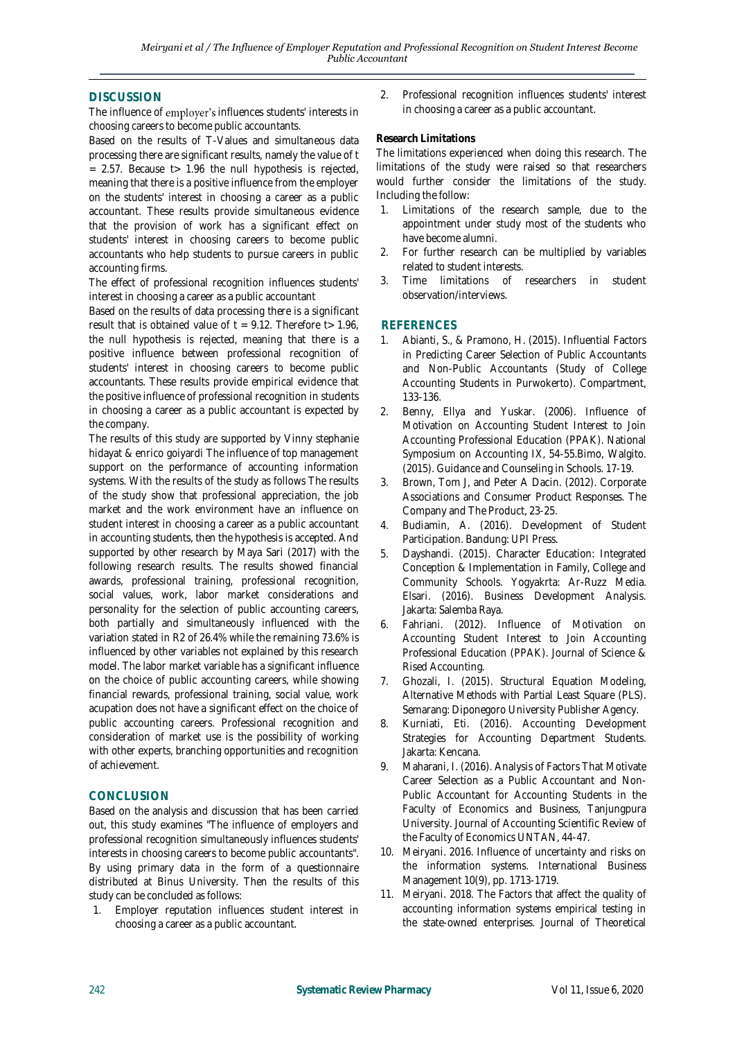## **DISCUSSION**

The influence of employer's influences students' interests in choosing careers to become public accountants.

Based on the results of T-Values and simultaneous data processing there are significant results, namely the value of t = 2.57. Because t> 1.96 the null hypothesis is rejected, meaning that there is a positive influence from the employer on the students' interest in choosing a career as a public accountant. These results provide simultaneous evidence that the provision of work has a significant effect on students' interest in choosing careers to become public accountants who help students to pursue careers in public accounting firms.

The effect of professional recognition influences students' interest in choosing a career as a public accountant

Based on the results of data processing there is a significant result that is obtained value of  $t = 9.12$ . Therefore  $t > 1.96$ , the null hypothesis is rejected, meaning that there is a positive influence between professional recognition of students' interest in choosing careers to become public accountants. These results provide empirical evidence that the positive influence of professional recognition in students in choosing a career as a public accountant is expected by the company.

The results of this study are supported by Vinny stephanie hidayat & enrico goiyardi The influence of top management support on the performance of accounting information systems. With the results of the study as follows The results of the study show that professional appreciation, the job market and the work environment have an influence on student interest in choosing a career as a public accountant in accounting students, then the hypothesis is accepted. And supported by other research by Maya Sari (2017) with the following research results. The results showed financial awards, professional training, professional recognition, social values, work, labor market considerations and personality for the selection of public accounting careers, both partially and simultaneously influenced with the variation stated in R2 of 26.4% while the remaining 73.6% is influenced by other variables not explained by this research model. The labor market variable has a significant influence on the choice of public accounting careers, while showing financial rewards, professional training, social value, work acupation does not have a significant effect on the choice of public accounting careers. Professional recognition and consideration of market use is the possibility of working with other experts, branching opportunities and recognition of achievement.

# **CONCLUSION**

Based on the analysis and discussion that has been carried out, this study examines "The influence of employers and professional recognition simultaneously influences students' interests in choosing careers to become public accountants". By using primary data in the form of a questionnaire distributed at Binus University. Then the results of this study can be concluded as follows:

1. Employer reputation influences student interest in choosing a career as a public accountant.

2. Professional recognition influences students' interest in choosing a career as a public accountant.

#### **Research Limitations**

The limitations experienced when doing this research. The limitations of the study were raised so that researchers would further consider the limitations of the study. Including the follow:

- 1. Limitations of the research sample, due to the appointment under study most of the students who have become alumni.
- 2. For further research can be multiplied by variables related to student interests.
- 3. Time limitations of researchers in student observation/interviews.

## **REFERENCES**

- 1. Abianti, S., & Pramono, H. (2015). Influential Factors in Predicting Career Selection of Public Accountants and Non-Public Accountants (Study of College Accounting Students in Purwokerto). Compartment, 133-136.
- 2. Benny, Ellya and Yuskar. (2006). Influence of Motivation on Accounting Student Interest to Join Accounting Professional Education (PPAK). National Symposium on Accounting IX, 54-55.Bimo, Walgito. (2015). Guidance and Counseling in Schools. 17-19.
- 3. Brown, Tom J, and Peter A Dacin. (2012). Corporate Associations and Consumer Product Responses. The Company and The Product, 23-25.
- 4. Budiamin, A. (2016). Development of Student Participation. Bandung: UPI Press.
- 5. Dayshandi. (2015). Character Education: Integrated Conception & Implementation in Family, College and Community Schools. Yogyakrta: Ar-Ruzz Media. Elsari. (2016). Business Development Analysis. Jakarta: Salemba Raya.
- 6. Fahriani. (2012). Influence of Motivation on Accounting Student Interest to Join Accounting Professional Education (PPAK). Journal of Science & Rised Accounting.
- 7. Ghozali, I. (2015). Structural Equation Modeling, Alternative Methods with Partial Least Square (PLS). Semarang: Diponegoro University Publisher Agency.
- 8. Kurniati, Eti. (2016). Accounting Development Strategies for Accounting Department Students. Jakarta: Kencana.
- Maharani, I. (2016). Analysis of Factors That Motivate Career Selection as a Public Accountant and Non-Public Accountant for Accounting Students in the Faculty of Economics and Business, Tanjungpura University. Journal of Accounting Scientific Review of the Faculty of Economics UNTAN, 44-47.
- 10. Meiryani. 2016. Influence of uncertainty and risks on the information systems. International Business Management 10(9), pp. 1713-1719.
- 11. Meiryani. 2018. The Factors that affect the quality of accounting information systems empirical testing in the state-owned enterprises. Journal of Theoretical